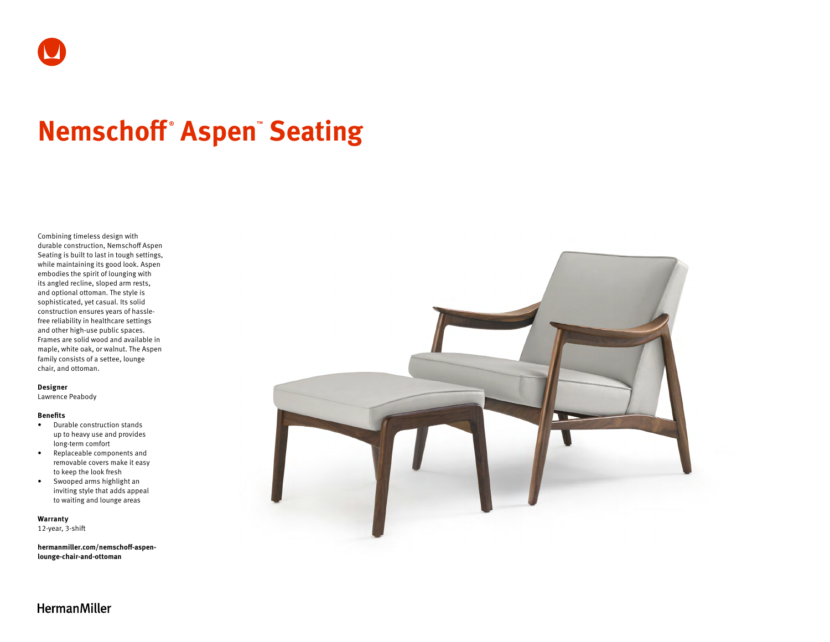# **Nemschoff ® Aspen™ Seating**

Combining timeless design with durable construction, Nemschoff Aspen Seating is built to last in tough settings, while maintaining its good look. Aspen embodies the spirit of lounging with its angled recline, sloped arm rests, and optional ottoman. The style is sophisticated, yet casual. Its solid construction ensures years of hasslefree reliability in healthcare settings and other high-use public spaces. Frames are solid wood and available in maple, white oak, or walnut. The Aspen family consists of a settee, lounge chair, and ottoman.

#### **Designer**

Lawrence Peabody

#### **Benefits**

- Durable construction stands up to heavy use and provides long-term comfort
- Replaceable components and removable covers make it easy to keep the look fresh
- Swooped arms highlight an inviting style that adds appeal to waiting and lounge areas

**Warranty**  12-year, 3-shift

**[hermanmiller.com/nemschoff-aspen](http://hermanmiller.com/nemschoff-aspen-lounge-chair-and-ottoman)[lounge-chair-and-ottoman](http://hermanmiller.com/nemschoff-aspen-lounge-chair-and-ottoman)**